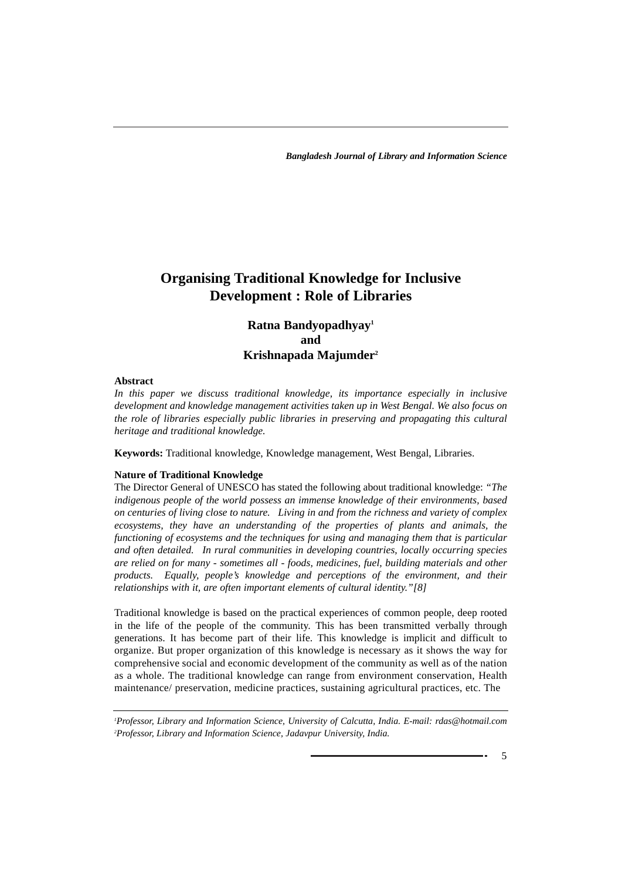# **Organising Traditional Knowledge for Inclusive Development : Role of Libraries**

# **Ratna Bandyopadhyay1 and Krishnapada Majumder2**

#### **Abstract**

*In this paper we discuss traditional knowledge, its importance especially in inclusive development and knowledge management activities taken up in West Bengal. We also focus on the role of libraries especially public libraries in preserving and propagating this cultural heritage and traditional knowledge.*

**Keywords:** Traditional knowledge, Knowledge management, West Bengal, Libraries.

# **Nature of Traditional Knowledge**

The Director General of UNESCO has stated the following about traditional knowledge: *"The indigenous people of the world possess an immense knowledge of their environments, based on centuries of living close to nature. Living in and from the richness and variety of complex ecosystems, they have an understanding of the properties of plants and animals, the functioning of ecosystems and the techniques for using and managing them that is particular and often detailed. In rural communities in developing countries, locally occurring species are relied on for many - sometimes all - foods, medicines, fuel, building materials and other products. Equally, people's knowledge and perceptions of the environment, and their relationships with it, are often important elements of cultural identity."[8]*

Traditional knowledge is based on the practical experiences of common people, deep rooted in the life of the people of the community. This has been transmitted verbally through generations. It has become part of their life. This knowledge is implicit and difficult to organize. But proper organization of this knowledge is necessary as it shows the way for comprehensive social and economic development of the community as well as of the nation as a whole. The traditional knowledge can range from environment conservation, Health maintenance/ preservation, medicine practices, sustaining agricultural practices, etc. The

*1 Professor, Library and Information Science, University of Calcutta, India. E-mail: rdas@hotmail.com 2 Professor, Library and Information Science, Jadavpur University, India.*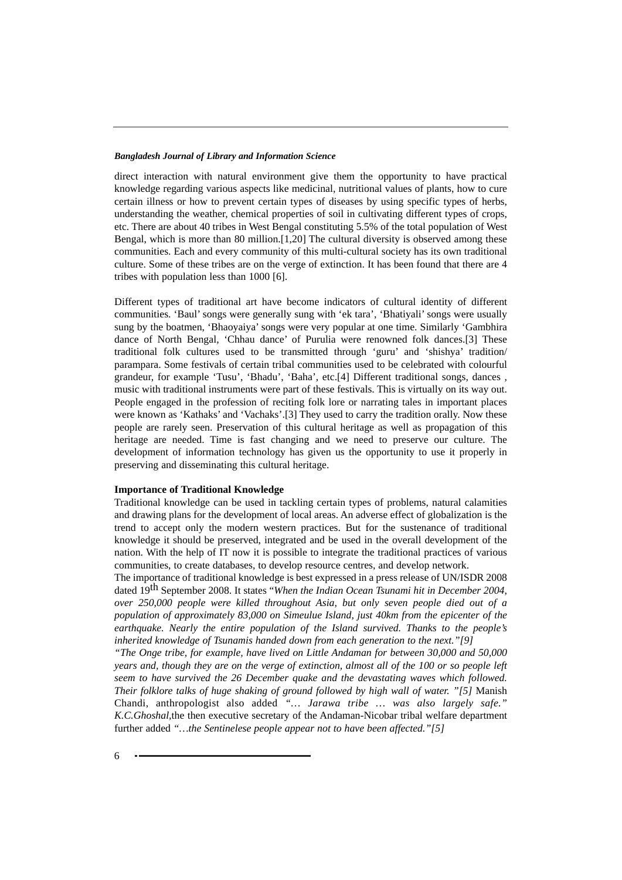direct interaction with natural environment give them the opportunity to have practical knowledge regarding various aspects like medicinal, nutritional values of plants, how to cure certain illness or how to prevent certain types of diseases by using specific types of herbs, understanding the weather, chemical properties of soil in cultivating different types of crops, etc. There are about 40 tribes in West Bengal constituting 5.5% of the total population of West Bengal, which is more than 80 million.[1,20] The cultural diversity is observed among these communities. Each and every community of this multi-cultural society has its own traditional culture. Some of these tribes are on the verge of extinction. It has been found that there are 4 tribes with population less than 1000 [6].

Different types of traditional art have become indicators of cultural identity of different communities. 'Baul' songs were generally sung with 'ek tara', 'Bhatiyali' songs were usually sung by the boatmen, 'Bhaoyaiya' songs were very popular at one time. Similarly 'Gambhira dance of North Bengal, 'Chhau dance' of Purulia were renowned folk dances.[3] These traditional folk cultures used to be transmitted through 'guru' and 'shishya' tradition/ parampara. Some festivals of certain tribal communities used to be celebrated with colourful grandeur, for example 'Tusu', 'Bhadu', 'Baha', etc.[4] Different traditional songs, dances , music with traditional instruments were part of these festivals. This is virtually on its way out. People engaged in the profession of reciting folk lore or narrating tales in important places were known as 'Kathaks' and 'Vachaks'.[3] They used to carry the tradition orally. Now these people are rarely seen. Preservation of this cultural heritage as well as propagation of this heritage are needed. Time is fast changing and we need to preserve our culture. The development of information technology has given us the opportunity to use it properly in preserving and disseminating this cultural heritage.

#### **Importance of Traditional Knowledge**

Traditional knowledge can be used in tackling certain types of problems, natural calamities and drawing plans for the development of local areas. An adverse effect of globalization is the trend to accept only the modern western practices. But for the sustenance of traditional knowledge it should be preserved, integrated and be used in the overall development of the nation. With the help of IT now it is possible to integrate the traditional practices of various communities, to create databases, to develop resource centres, and develop network.

The importance of traditional knowledge is best expressed in a press release of UN/ISDR 2008 dated 19th September 2008. It states "*When the Indian Ocean Tsunami hit in December 2004, over 250,000 people were killed throughout Asia, but only seven people died out of a population of approximately 83,000 on Simeulue Island, just 40km from the epicenter of the earthquake. Nearly the entire population of the Island survived. Thanks to the people's inherited knowledge of Tsunamis handed down from each generation to the next."[9]*

*"The Onge tribe, for example, have lived on Little Andaman for between 30,000 and 50,000 years and, though they are on the verge of extinction, almost all of the 100 or so people left seem to have survived the 26 December quake and the devastating waves which followed. Their folklore talks of huge shaking of ground followed by high wall of water.* "[5] Manish Chandi, anthropologist also added *"… Jarawa tribe … was also largely safe." K.C.Ghoshal,*the then executive secretary of the Andaman-Nicobar tribal welfare department further added *"…the Sentinelese people appear not to have been affected."[5]*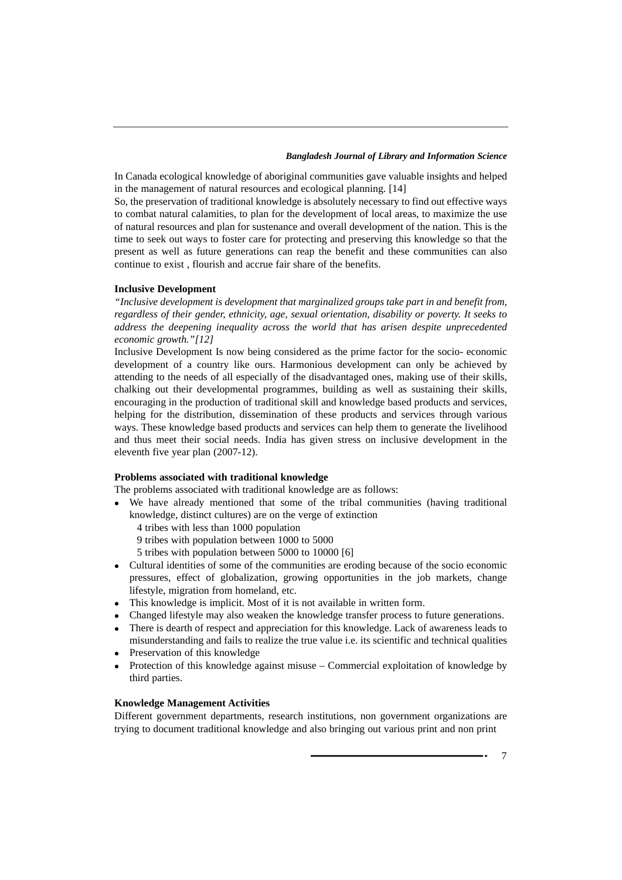In Canada ecological knowledge of aboriginal communities gave valuable insights and helped in the management of natural resources and ecological planning. [14]

So, the preservation of traditional knowledge is absolutely necessary to find out effective ways to combat natural calamities, to plan for the development of local areas, to maximize the use of natural resources and plan for sustenance and overall development of the nation. This is the time to seek out ways to foster care for protecting and preserving this knowledge so that the present as well as future generations can reap the benefit and these communities can also continue to exist , flourish and accrue fair share of the benefits.

#### **Inclusive Development**

*"Inclusive development is development that marginalized groups take part in and benefit from, regardless of their gender, ethnicity, age, sexual orientation, disability or poverty. It seeks to address the deepening inequality across the world that has arisen despite unprecedented economic growth."[12]*

Inclusive Development Is now being considered as the prime factor for the socio- economic development of a country like ours. Harmonious development can only be achieved by attending to the needs of all especially of the disadvantaged ones, making use of their skills, chalking out their developmental programmes, building as well as sustaining their skills, encouraging in the production of traditional skill and knowledge based products and services, helping for the distribution, dissemination of these products and services through various ways. These knowledge based products and services can help them to generate the livelihood and thus meet their social needs. India has given stress on inclusive development in the eleventh five year plan (2007-12).

# **Problems associated with traditional knowledge**

The problems associated with traditional knowledge are as follows:

- We have already mentioned that some of the tribal communities (having traditional knowledge, distinct cultures) are on the verge of extinction
	- 4 tribes with less than 1000 population
	- 9 tribes with population between 1000 to 5000
	- 5 tribes with population between 5000 to 10000 [6]
- Cultural identities of some of the communities are eroding because of the socio economic pressures, effect of globalization, growing opportunities in the job markets, change lifestyle, migration from homeland, etc.
- This knowledge is implicit. Most of it is not available in written form.
- Changed lifestyle may also weaken the knowledge transfer process to future generations.
- There is dearth of respect and appreciation for this knowledge. Lack of awareness leads to misunderstanding and fails to realize the true value i.e. its scientific and technical qualities
- Preservation of this knowledge
- Protection of this knowledge against misuse Commercial exploitation of knowledge by third parties.

# **Knowledge Management Activities**

Different government departments, research institutions, non government organizations are trying to document traditional knowledge and also bringing out various print and non print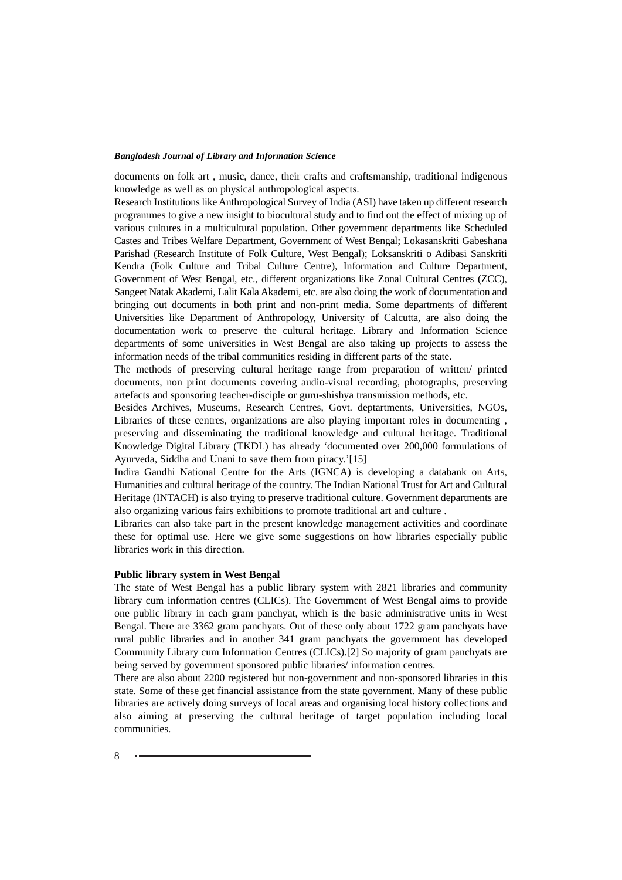documents on folk art , music, dance, their crafts and craftsmanship, traditional indigenous knowledge as well as on physical anthropological aspects.

Research Institutions like Anthropological Survey of India (ASI) have taken up different research programmes to give a new insight to biocultural study and to find out the effect of mixing up of various cultures in a multicultural population. Other government departments like Scheduled Castes and Tribes Welfare Department, Government of West Bengal; Lokasanskriti Gabeshana Parishad (Research Institute of Folk Culture, West Bengal); Loksanskriti o Adibasi Sanskriti Kendra (Folk Culture and Tribal Culture Centre), Information and Culture Department, Government of West Bengal, etc., different organizations like Zonal Cultural Centres (ZCC), Sangeet Natak Akademi, Lalit Kala Akademi, etc. are also doing the work of documentation and bringing out documents in both print and non-print media. Some departments of different Universities like Department of Anthropology, University of Calcutta, are also doing the documentation work to preserve the cultural heritage. Library and Information Science departments of some universities in West Bengal are also taking up projects to assess the information needs of the tribal communities residing in different parts of the state.

The methods of preserving cultural heritage range from preparation of written/ printed documents, non print documents covering audio-visual recording, photographs, preserving artefacts and sponsoring teacher-disciple or guru-shishya transmission methods, etc.

Besides Archives, Museums, Research Centres, Govt. deptartments, Universities, NGOs, Libraries of these centres, organizations are also playing important roles in documenting , preserving and disseminating the traditional knowledge and cultural heritage. Traditional Knowledge Digital Library (TKDL) has already 'documented over 200,000 formulations of Ayurveda, Siddha and Unani to save them from piracy.'[15]

Indira Gandhi National Centre for the Arts (IGNCA) is developing a databank on Arts, Humanities and cultural heritage of the country. The Indian National Trust for Art and Cultural Heritage (INTACH) is also trying to preserve traditional culture. Government departments are also organizing various fairs exhibitions to promote traditional art and culture .

Libraries can also take part in the present knowledge management activities and coordinate these for optimal use. Here we give some suggestions on how libraries especially public libraries work in this direction.

# **Public library system in West Bengal**

The state of West Bengal has a public library system with 2821 libraries and community library cum information centres (CLICs). The Government of West Bengal aims to provide one public library in each gram panchyat, which is the basic administrative units in West Bengal. There are 3362 gram panchyats. Out of these only about 1722 gram panchyats have rural public libraries and in another 341 gram panchyats the government has developed Community Library cum Information Centres (CLICs).[2] So majority of gram panchyats are being served by government sponsored public libraries/ information centres.

There are also about 2200 registered but non-government and non-sponsored libraries in this state. Some of these get financial assistance from the state government. Many of these public libraries are actively doing surveys of local areas and organising local history collections and also aiming at preserving the cultural heritage of target population including local communities.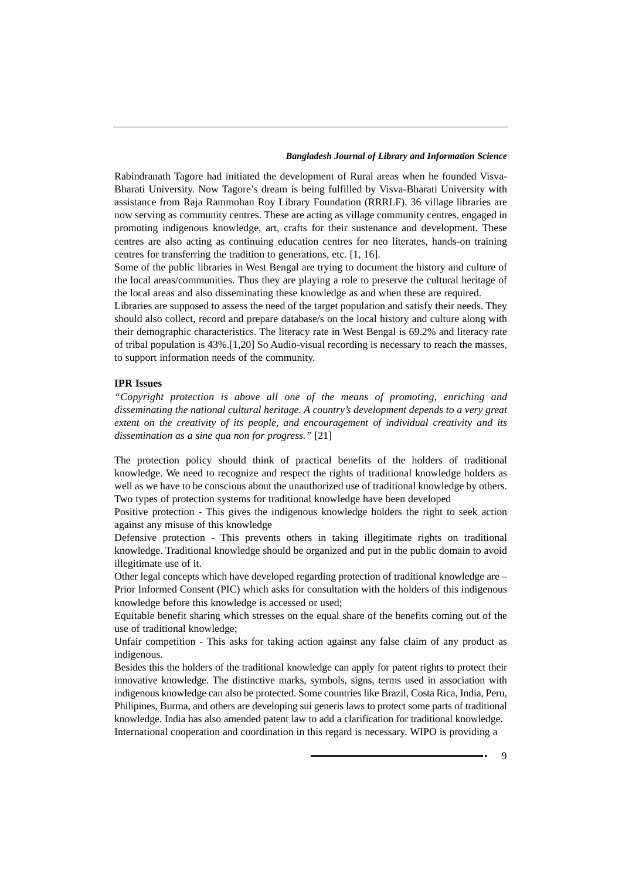Rabindranath Tagore had initiated the development of Rural areas when he founded Visva-Bharati University. Now Tagore's dream is being fulfilled by Visva-Bharati University with assistance from Raja Rammohan Roy Library Foundation (RRRLF). 36 village libraries are now serving as community centres. These are acting as village community centres, engaged in promoting indigenous knowledge, art, crafts for their sustenance and development. These centres are also acting as continuing education centres for neo literates, hands-on training centres for transferring the tradition to generations, etc. [1, 16].

Some of the public libraries in West Bengal are trying to document the history and culture of the local areas/communities. Thus they are playing a role to preserve the cultural heritage of the local areas and also disseminating these knowledge as and when these are required.

Libraries are supposed to assess the need of the target population and satisfy their needs. They should also collect, record and prepare database/s on the local history and culture along with their demographic characteristics. The literacy rate in West Bengal is 69.2% and literacy rate of tribal population is 43%.[1,20] So Audio-visual recording is necessary to reach the masses, to support information needs of the community.

# **IPR Issues**

*"Copyright protection is above all one of the means of promoting, enriching and disseminating the national cultural heritage. A country's development depends to a very great extent on the creativity of its people, and encouragement of individual creativity and its dissemination as a sine qua non for progress."* [21]

The protection policy should think of practical benefits of the holders of traditional knowledge. We need to recognize and respect the rights of traditional knowledge holders as well as we have to be conscious about the unauthorized use of traditional knowledge by others. Two types of protection systems for traditional knowledge have been developed

Positive protection - This gives the indigenous knowledge holders the right to seek action against any misuse of this knowledge

Defensive protection - This prevents others in taking illegitimate rights on traditional knowledge. Traditional knowledge should be organized and put in the public domain to avoid illegitimate use of it.

Other legal concepts which have developed regarding protection of traditional knowledge are – Prior Informed Consent (PIC) which asks for consultation with the holders of this indigenous knowledge before this knowledge is accessed or used;

Equitable benefit sharing which stresses on the equal share of the benefits coming out of the use of traditional knowledge;

Unfair competition - This asks for taking action against any false claim of any product as indigenous.

Besides this the holders of the traditional knowledge can apply for patent rights to protect their innovative knowledge. The distinctive marks, symbols, signs, terms used in association with indigenous knowledge can also be protected. Some countries like Brazil, Costa Rica, India, Peru, Philipines, Burma, and others are developing sui generis laws to protect some parts of traditional knowledge. India has also amended patent law to add a clarification for traditional knowledge. International cooperation and coordination in this regard is necessary. WIPO is providing a

 $\mathbf Q$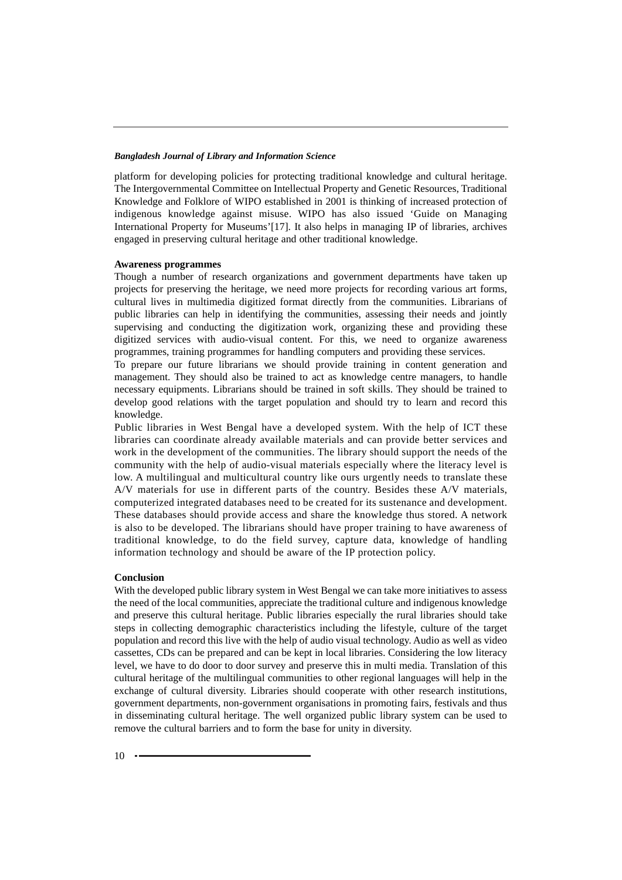platform for developing policies for protecting traditional knowledge and cultural heritage. The Intergovernmental Committee on Intellectual Property and Genetic Resources, Traditional Knowledge and Folklore of WIPO established in 2001 is thinking of increased protection of indigenous knowledge against misuse. WIPO has also issued 'Guide on Managing International Property for Museums'[17]. It also helps in managing IP of libraries, archives engaged in preserving cultural heritage and other traditional knowledge.

#### **Awareness programmes**

Though a number of research organizations and government departments have taken up projects for preserving the heritage, we need more projects for recording various art forms, cultural lives in multimedia digitized format directly from the communities. Librarians of public libraries can help in identifying the communities, assessing their needs and jointly supervising and conducting the digitization work, organizing these and providing these digitized services with audio-visual content. For this, we need to organize awareness programmes, training programmes for handling computers and providing these services.

To prepare our future librarians we should provide training in content generation and management. They should also be trained to act as knowledge centre managers, to handle necessary equipments. Librarians should be trained in soft skills. They should be trained to develop good relations with the target population and should try to learn and record this knowledge.

Public libraries in West Bengal have a developed system. With the help of ICT these libraries can coordinate already available materials and can provide better services and work in the development of the communities. The library should support the needs of the community with the help of audio-visual materials especially where the literacy level is low. A multilingual and multicultural country like ours urgently needs to translate these A/V materials for use in different parts of the country. Besides these A/V materials, computerized integrated databases need to be created for its sustenance and development. These databases should provide access and share the knowledge thus stored. A network is also to be developed. The librarians should have proper training to have awareness of traditional knowledge, to do the field survey, capture data, knowledge of handling information technology and should be aware of the IP protection policy.

#### **Conclusion**

With the developed public library system in West Bengal we can take more initiatives to assess the need of the local communities, appreciate the traditional culture and indigenous knowledge and preserve this cultural heritage. Public libraries especially the rural libraries should take steps in collecting demographic characteristics including the lifestyle, culture of the target population and record this live with the help of audio visual technology. Audio as well as video cassettes, CDs can be prepared and can be kept in local libraries. Considering the low literacy level, we have to do door to door survey and preserve this in multi media. Translation of this cultural heritage of the multilingual communities to other regional languages will help in the exchange of cultural diversity. Libraries should cooperate with other research institutions, government departments, non-government organisations in promoting fairs, festivals and thus in disseminating cultural heritage. The well organized public library system can be used to remove the cultural barriers and to form the base for unity in diversity.